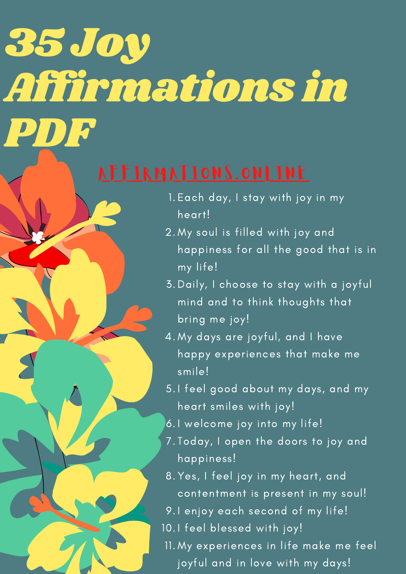### 35 Joy Affirmations in PDF

- 1.Each day, I stay with joy in my heart!
- My soul is filled with joy and 2. happiness for all the good that is in my life!
- 3. Daily, I choose to stay with a joyful mind and to think thoughts that bring me joy!
- 4. My days are joyful, and I have happy experiences that make me smile!
- 5.I feel good about my days, and my heart smiles with joy!
- 6.I welcome joy into my life!
- Today, I open the doors to joy and 7. happiness!
- 8. Yes, I feel joy in my heart, and contentment is present in my soul!
- 9.I enjoy each second of my life!
- 10.I feel blessed with joy!
- My experiences in life make me feel 11.joyful and in love with my days!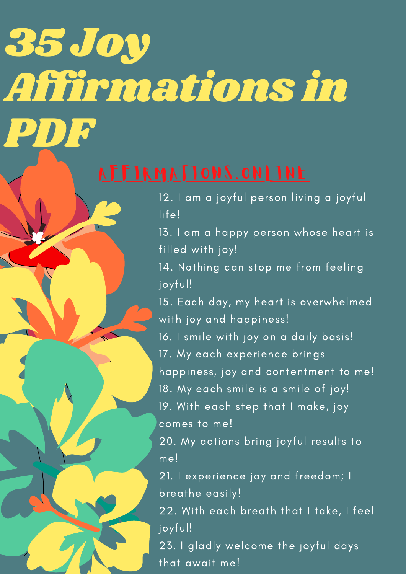# 35 Joy Affirmations in PDF

12. I am a joyful person living a joyful life!

13. I am a happy person whose heart is filled with joy!

14. Nothing can stop me from feeling joyful!

15. Each day, my heart is overwhelmed with joy and happiness!

16. I smile with joy on a daily basis! 17. My each experience brings happiness, joy and contentment to me! 18. My each smile is a smile of joy! 19. With each step that I make, joy comes to me!

20. My actions bring joyful results to me!

21. I experience joy and freedom; I breathe easily!

22. With each breath that I take, I feel joyful!

23. I gladly welcome the joyful days that await me!